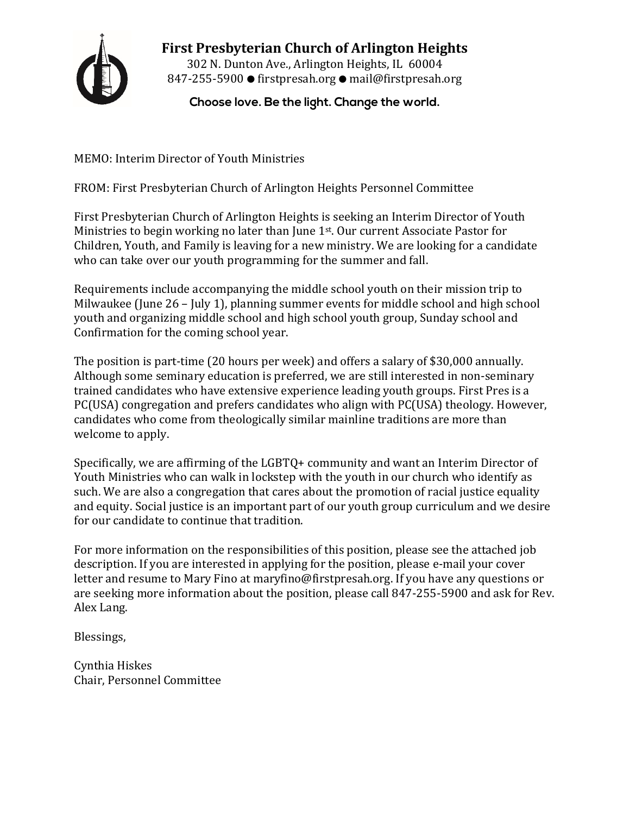

**First Presbyterian Church of Arlington Heights** 302 N. Dunton Ave., Arlington Heights, IL 60004 847-255-5900 ● firstpresah.org ● mail@firstpresah.org

**Choose love. Be the light. Change the world.**

MEMO: Interim Director of Youth Ministries

FROM: First Presbyterian Church of Arlington Heights Personnel Committee

First Presbyterian Church of Arlington Heights is seeking an Interim Director of Youth Ministries to begin working no later than June 1st. Our current Associate Pastor for Children, Youth, and Family is leaving for a new ministry. We are looking for a candidate who can take over our youth programming for the summer and fall.

Requirements include accompanying the middle school youth on their mission trip to Milwaukee (June 26 – July 1), planning summer events for middle school and high school youth and organizing middle school and high school youth group, Sunday school and Confirmation for the coming school year.

The position is part-time (20 hours per week) and offers a salary of \$30,000 annually. Although some seminary education is preferred, we are still interested in non-seminary trained candidates who have extensive experience leading youth groups. First Pres is a PC(USA) congregation and prefers candidates who align with PC(USA) theology. However, candidates who come from theologically similar mainline traditions are more than welcome to apply.

Specifically, we are affirming of the LGBTQ+ community and want an Interim Director of Youth Ministries who can walk in lockstep with the youth in our church who identify as such. We are also a congregation that cares about the promotion of racial justice equality and equity. Social justice is an important part of our youth group curriculum and we desire for our candidate to continue that tradition.

For more information on the responsibilities of this position, please see the attached job description. If you are interested in applying for the position, please e-mail your cover letter and resume to Mary Fino at maryfino@firstpresah.org. If you have any questions or are seeking more information about the position, please call 847-255-5900 and ask for Rev. Alex Lang.

Blessings,

Cynthia Hiskes Chair, Personnel Committee